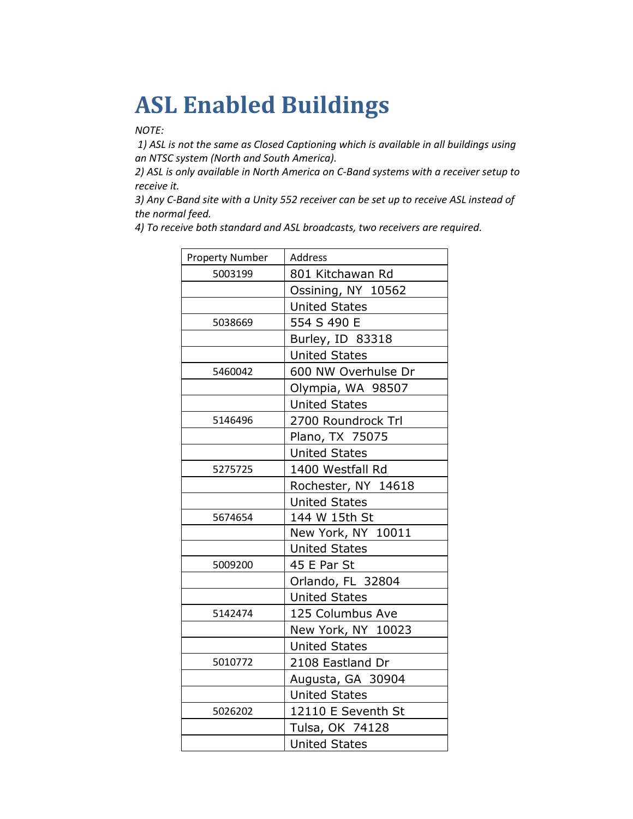## **ASL Enabled Buildings**

*NOTE:*

*1) ASL is not the same as Closed Captioning which is available in all buildings using an NTSC system (North and South America).*

*2) ASL is only available in North America on C-Band systems with a receiver setup to receive it.* 

*3) Any C-Band site with a Unity 552 receiver can be set up to receive ASL instead of the normal feed.*

*4) To receive both standard and ASL broadcasts, two receivers are required.*

| <b>Property Number</b> | Address              |
|------------------------|----------------------|
| 5003199                | 801 Kitchawan Rd     |
|                        | Ossining, NY 10562   |
|                        | <b>United States</b> |
| 5038669                | 554 S 490 E          |
|                        | Burley, ID 83318     |
|                        | <b>United States</b> |
| 5460042                | 600 NW Overhulse Dr  |
|                        | Olympia, WA 98507    |
|                        | <b>United States</b> |
| 5146496                | 2700 Roundrock Trl   |
|                        | Plano, TX 75075      |
|                        | <b>United States</b> |
| 5275725                | 1400 Westfall Rd     |
|                        | Rochester, NY 14618  |
|                        | <b>United States</b> |
| 5674654                | 144 W 15th St        |
|                        | New York, NY 10011   |
|                        | <b>United States</b> |
| 5009200                | 45 E Par St          |
|                        | Orlando, FL 32804    |
|                        | <b>United States</b> |
| 5142474                | 125 Columbus Ave     |
|                        | New York, NY 10023   |
|                        | <b>United States</b> |
| 5010772                | 2108 Eastland Dr     |
|                        | Augusta, GA 30904    |
|                        | <b>United States</b> |
| 5026202                | 12110 E Seventh St   |
|                        | Tulsa, OK 74128      |
|                        | <b>United States</b> |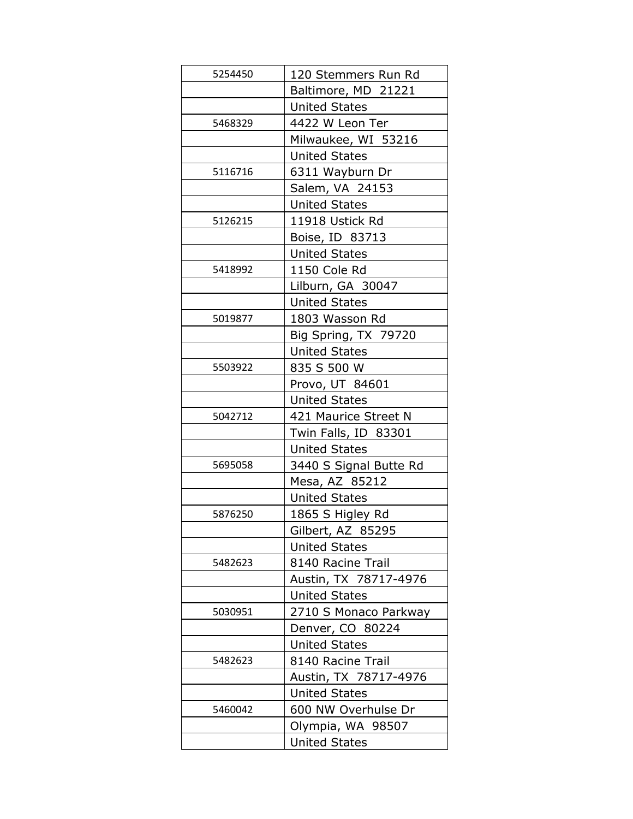| 5254450 | 120 Stemmers Run Rd    |
|---------|------------------------|
|         | Baltimore, MD 21221    |
|         | United States          |
| 5468329 | 4422 W Leon Ter        |
|         | Milwaukee, WI 53216    |
|         | <b>United States</b>   |
| 5116716 | 6311 Wayburn Dr        |
|         | Salem, VA 24153        |
|         | <b>United States</b>   |
| 5126215 | 11918 Ustick Rd        |
|         | Boise, ID 83713        |
|         | <b>United States</b>   |
| 5418992 | 1150 Cole Rd           |
|         | Lilburn, GA 30047      |
|         | <b>United States</b>   |
| 5019877 | 1803 Wasson Rd         |
|         | Big Spring, TX 79720   |
|         | <b>United States</b>   |
| 5503922 | 835 S 500 W            |
|         | Provo, UT 84601        |
|         | <b>United States</b>   |
| 5042712 | 421 Maurice Street N   |
|         | Twin Falls, ID 83301   |
|         | <b>United States</b>   |
| 5695058 | 3440 S Signal Butte Rd |
|         | Mesa, AZ 85212         |
|         | <b>United States</b>   |
| 5876250 | 1865 S Higley Rd       |
|         | Gilbert, AZ 85295      |
|         | <b>United States</b>   |
| 5482623 | 8140 Racine Trail      |
|         | Austin, TX 78717-4976  |
|         | <b>United States</b>   |
| 5030951 | 2710 S Monaco Parkway  |
|         | Denver, CO 80224       |
|         | <b>United States</b>   |
| 5482623 | 8140 Racine Trail      |
|         | Austin, TX 78717-4976  |
|         | <b>United States</b>   |
| 5460042 | 600 NW Overhulse Dr    |
|         | Olympia, WA 98507      |
|         | United States          |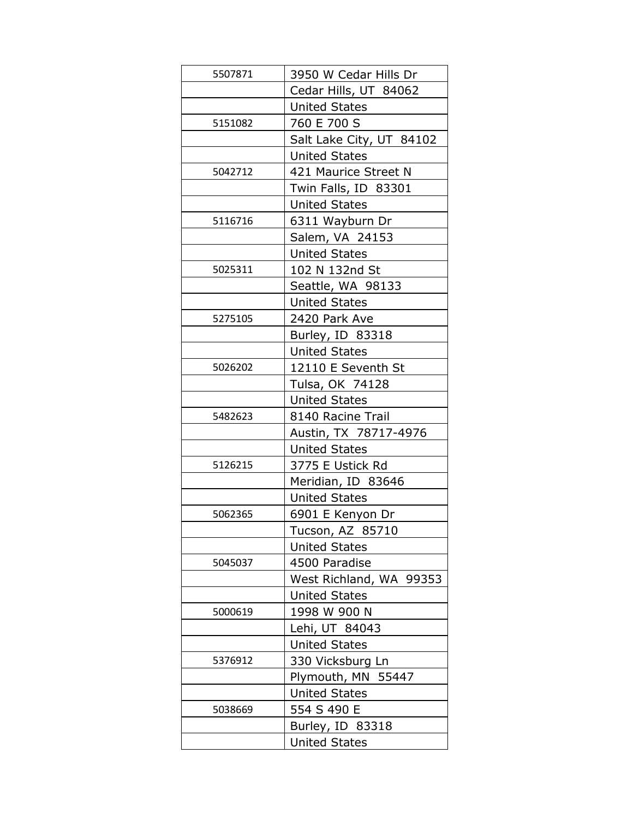| 5507871 | 3950 W Cedar Hills Dr    |
|---------|--------------------------|
|         | Cedar Hills, UT 84062    |
|         | <b>United States</b>     |
| 5151082 | 760 E 700 S              |
|         | Salt Lake City, UT 84102 |
|         | <b>United States</b>     |
| 5042712 | 421 Maurice Street N     |
|         | Twin Falls, ID 83301     |
|         | <b>United States</b>     |
| 5116716 | 6311 Wayburn Dr          |
|         | Salem, VA 24153          |
|         | <b>United States</b>     |
| 5025311 | 102 N 132nd St           |
|         | Seattle, WA 98133        |
|         | <b>United States</b>     |
| 5275105 | 2420 Park Ave            |
|         | Burley, ID 83318         |
|         | <b>United States</b>     |
| 5026202 | 12110 E Seventh St       |
|         | Tulsa, OK 74128          |
|         | <b>United States</b>     |
| 5482623 | 8140 Racine Trail        |
|         | Austin, TX 78717-4976    |
|         | <b>United States</b>     |
| 5126215 | 3775 E Ustick Rd         |
|         | Meridian, ID 83646       |
|         | <b>United States</b>     |
| 5062365 | 6901 E Kenyon Dr         |
|         | Tucson, AZ 85710         |
|         | <b>United States</b>     |
| 5045037 | 4500 Paradise            |
|         | West Richland, WA 99353  |
|         | <b>United States</b>     |
| 5000619 | 1998 W 900 N             |
|         | Lehi, UT 84043           |
|         | <b>United States</b>     |
| 5376912 | 330 Vicksburg Ln         |
|         | Plymouth, MN 55447       |
|         | <b>United States</b>     |
| 5038669 | 554 S 490 E              |
|         | Burley, ID 83318         |
|         | <b>United States</b>     |